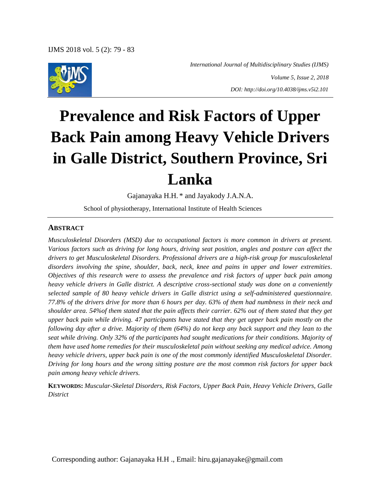

 *International Journal of Multidisciplinary Studies (IJMS)*

*Volume 5, Issue 2, 2018 DOI: http://doi.org/10.4038/ijms.v5i2.101*

# **Prevalence and Risk Factors of Upper Back Pain among Heavy Vehicle Drivers in Galle District, Southern Province, Sri Lanka**

Gajanayaka H.H. \* and Jayakody J.A.N.A.

School of physiotherapy, International Institute of Health Sciences

#### **ABSTRACT**

*Musculoskeletal Disorders (MSD) due to occupational factors is more common in drivers at present. Various factors such as driving for long hours, driving seat position, angles and posture can affect the drivers to get Musculoskeletal Disorders. Professional drivers are a high-risk group for musculoskeletal disorders involving the spine, shoulder, back, neck, knee and pains in upper and lower extremities. Objectives of this research were to assess the prevalence and risk factors of upper back pain among heavy vehicle drivers in Galle district. A descriptive cross-sectional study was done on a conveniently selected sample of 80 heavy vehicle drivers in Galle district using a self-administered questionnaire. 77.8% of the drivers drive for more than 6 hours per day. 63% of them had numbness in their neck and shoulder area. 54%of them stated that the pain affects their carrier. 62% out of them stated that they get upper back pain while driving. 47 participants have stated that they get upper back pain mostly on the following day after a drive. Majority of them (64%) do not keep any back support and they lean to the seat while driving. Only 32% of the participants had sought medications for their conditions. Majority of them have used home remedies for their musculoskeletal pain without seeking any medical advice. Among heavy vehicle drivers, upper back pain is one of the most commonly identified Musculoskeletal Disorder. Driving for long hours and the wrong sitting posture are the most common risk factors for upper back pain among heavy vehicle drivers.*

**KEYWORDS:** *Muscular-Skeletal Disorders, Risk Factors, Upper Back Pain, Heavy Vehicle Drivers, Galle District*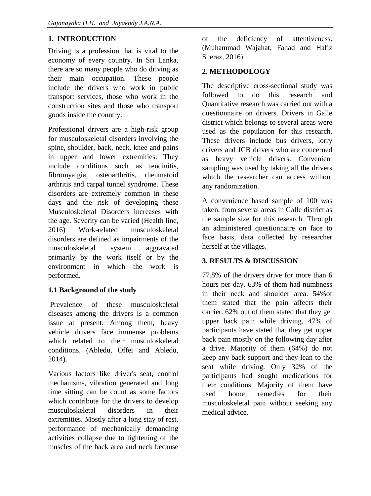# **1. INTRODUCTION**

Driving is a profession that is vital to the economy of every country. In Sri Lanka, there are so many people who do driving as their main occupation. These people include the drivers who work in public transport services, those who work in the construction sites and those who transport goods inside the country.

Professional drivers are a high-risk group for musculoskeletal disorders involving the spine, shoulder, back, neck, knee and pains in upper and lower extremities. They include conditions such as tendinitis, fibromyalgia, osteoarthritis, rheumatoid arthritis and carpal tunnel syndrome. These disorders are extremely common in these days and the risk of developing these Musculoskeletal Disorders increases with the age. Severity can be varied (Health line, 2016) Work-related musculoskeletal disorders are defined as impairments of the musculoskeletal system aggravated primarily by the work itself or by the environment in which the work is performed.

### **1.1 Background of the study**

Prevalence of these musculoskeletal diseases among the drivers is a common issue at present. Among them, heavy vehicle drivers face immense problems which related to their musculoskeletal conditions. (Abledu, Offei and Abledu, 2014).

Various factors like driver's seat, control mechanisms, vibration generated and long time sitting can be count as some factors which contribute for the drivers to develop musculoskeletal disorders in their extremities. Mostly after a long stay of rest, performance of mechanically demanding activities collapse due to tightening of the muscles of the back area and neck because

of the deficiency of attentiveness. (Muhammad Wajahat, Fahad and Hafiz Sheraz, 2016)

## **2. METHODOLOGY**

The descriptive cross-sectional study was followed to do this research and Quantitative research was carried out with a questionnaire on drivers. Drivers in Galle district which belongs to several areas were used as the population for this research. These drivers include bus drivers, lorry drivers and JCB drivers who are concerned as heavy vehicle drivers. Convenient sampling was used by taking all the drivers which the researcher can access without any randomization.

A convenience based sample of 100 was taken, from several areas in Galle district as the sample size for this research. Through an administered questionnaire on face to face basis, data collected by researcher herself at the villages.

### **3. RESULTS & DISCUSSION**

77.8% of the drivers drive for more than 6 hours per day. 63% of them had numbness in their neck and shoulder area. 54%of them stated that the pain affects their carrier. 62% out of them stated that they get upper back pain while driving. 47% of participants have stated that they get upper back pain mostly on the following day after a drive. Majority of them (64%) do not keep any back support and they lean to the seat while driving. Only 32% of the participants had sought medications for their conditions. Majority of them have used home remedies for their musculoskeletal pain without seeking any medical advice.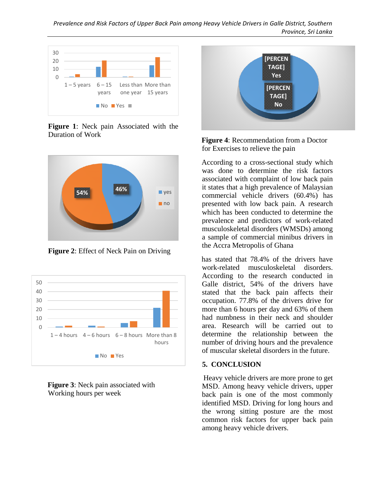

**Figure 1**: Neck pain Associated with the Duration of Work



**Figure 2**: Effect of Neck Pain on Driving



**Figure 3**: Neck pain associated with Working hours per week



**Figure 4**: Recommendation from a Doctor for Exercises to relieve the pain

According to a cross-sectional study which was done to determine the risk factors associated with complaint of low back pain it states that a high prevalence of Malaysian commercial vehicle drivers (60.4%) has presented with low back pain. A research which has been conducted to determine the prevalence and predictors of work-related musculoskeletal disorders (WMSDs) among a sample of commercial minibus drivers in the Accra Metropolis of Ghana

has stated that 78.4% of the drivers have work-related musculoskeletal disorders. According to the research conducted in Galle district, 54% of the drivers have stated that the back pain affects their occupation. 77.8% of the drivers drive for more than 6 hours per day and 63% of them had numbness in their neck and shoulder area. Research will be carried out to determine the relationship between the number of driving hours and the prevalence of muscular skeletal disorders in the future.

#### **5. CONCLUSION**

Heavy vehicle drivers are more prone to get MSD. Among heavy vehicle drivers, upper back pain is one of the most commonly identified MSD. Driving for long hours and the wrong sitting posture are the most common risk factors for upper back pain among heavy vehicle drivers.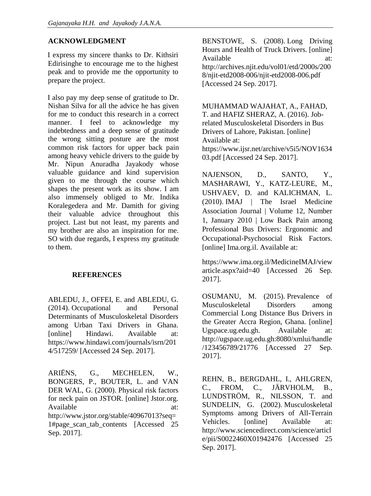# **ACKNOWLEDGMENT**

I express my sincere thanks to Dr. Kithsiri Edirisinghe to encourage me to the highest peak and to provide me the opportunity to prepare the project.

I also pay my deep sense of gratitude to Dr. Nishan Silva for all the advice he has given for me to conduct this research in a correct manner. I feel to acknowledge my indebtedness and a deep sense of gratitude the wrong sitting posture are the most common risk factors for upper back pain among heavy vehicle drivers to the guide by Mr. Nipun Anuradha Jayakody whose valuable guidance and kind supervision given to me through the course which shapes the present work as its show. I am also immensely obliged to Mr. Indika Koralegedera and Mr. Damith for giving their valuable advice throughout this project. Last but not least, my parents and my brother are also an inspiration for me. SO with due regards, I express my gratitude to them.

### **REFERENCES**

ABLEDU, J., OFFEI, E. and ABLEDU, G. (2014). Occupational and Personal Determinants of Musculoskeletal Disorders among Urban Taxi Drivers in Ghana. [online] Hindawi. Available at: https://www.hindawi.com/journals/isrn/201 4/517259/ [Accessed 24 Sep. 2017].

ARIËNS, G., MECHELEN, W., BONGERS, P., BOUTER, L. and VAN DER WAL, G. (2000). Physical risk factors for neck pain on JSTOR. [online] Jstor.org. Available at: http://www.jstor.org/stable/40967013?seq= 1#page\_scan\_tab\_contents [Accessed 25 Sep. 2017].

BENSTOWE, S. (2008). Long Driving Hours and Health of Truck Drivers. [online] Available at: http://archives.njit.edu/vol01/etd/2000s/200 8/njit-etd2008-006/njit-etd2008-006.pdf [Accessed 24 Sep. 2017].

MUHAMMAD WAJAHAT, A., FAHAD, T. and HAFIZ SHERAZ, A. (2016). Jobrelated Musculoskeletal Disorders in Bus Drivers of Lahore, Pakistan. [online] Available at: https://www.ijsr.net/archive/v5i5/NOV1634 03.pdf [Accessed 24 Sep. 2017].

NAJENSON, D., SANTO, Y., MASHARAWI, Y., KATZ-LEURE, M., USHVAEV, D. and KALICHMAN, L. (2010). IMAJ | The Israel Medicine Association Journal | Volume 12, Number 1, January 2010 | Low Back Pain among Professional Bus Drivers: Ergonomic and Occupational-Psychosocial Risk Factors. [online] Ima.org.il. Available at:

https://www.ima.org.il/MedicineIMAJ/view article.aspx?aid=40 [Accessed 26 Sep. 2017].

OSUMANU, M. (2015). Prevalence of Musculoskeletal Disorders among Commercial Long Distance Bus Drivers in the Greater Accra Region, Ghana. [online] Ugspace.ug.edu.gh. Available at: http://ugspace.ug.edu.gh:8080/xmlui/handle /123456789/21776 [Accessed 27 Sep. 2017].

REHN, B., BERGDAHL, I., AHLGREN, C., FROM, C., JÄRVHOLM, B., LUNDSTRÖM, R., NILSSON, T. and SUNDELIN, G. (2002). Musculoskeletal Symptoms among Drivers of All-Terrain Vehicles. [online] Available at: http://www.sciencedirect.com/science/articl e/pii/S0022460X01942476 [Accessed 25 Sep. 2017].